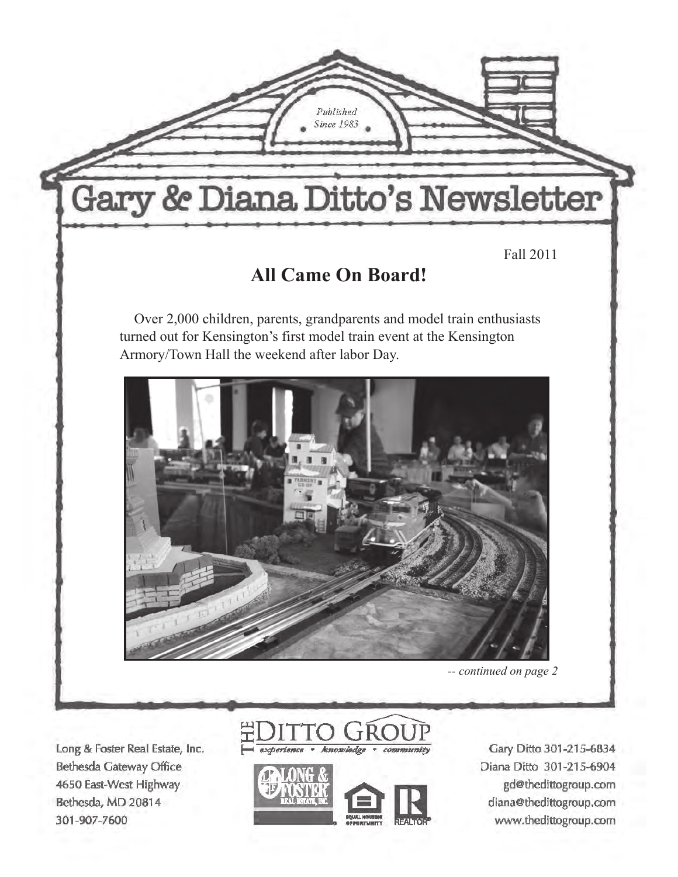

Long & Foster Real Estate, Inc. Bethesda Gateway Office 4650 East-West Highway Bethesda, MD 20814 301-907-7600





Gary Ditto 301-215-6834 Diana Ditto 301-215-6904 gd@thedittogroup.com diana@thedittogroup.com www.thedittogroup.com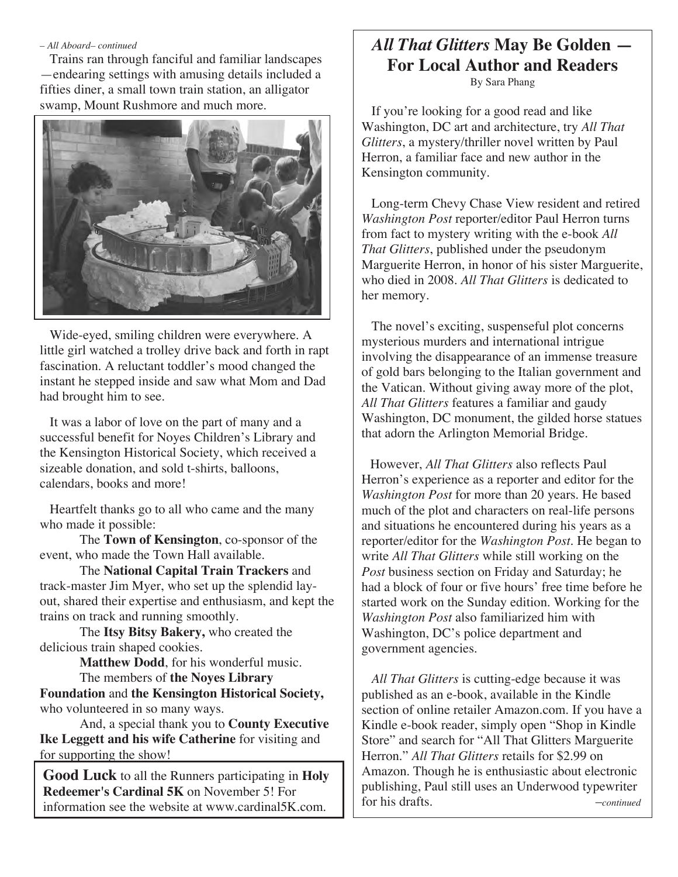#### *– All Aboard– continued*

 Trains ran through fanciful and familiar landscapes —endearing settings with amusing details included a fifties diner, a small town train station, an alligator swamp, Mount Rushmore and much more.



 Wide-eyed, smiling children were everywhere. A little girl watched a trolley drive back and forth in rapt fascination. A reluctant toddler's mood changed the instant he stepped inside and saw what Mom and Dad had brought him to see.

 It was a labor of love on the part of many and a successful benefit for Noyes Children's Library and the Kensington Historical Society, which received a sizeable donation, and sold t-shirts, balloons, calendars, books and more!

 Heartfelt thanks go to all who came and the many who made it possible:

The **Town of Kensington**, co-sponsor of the event, who made the Town Hall available.

The **National Capital Train Trackers** and track-master Jim Myer, who set up the splendid layout, shared their expertise and enthusiasm, and kept the trains on track and running smoothly.

The **Itsy Bitsy Bakery,** who created the delicious train shaped cookies.

**Matthew Dodd**, for his wonderful music.

The members of **the Noyes Library Foundation** and **the Kensington Historical Society,** who volunteered in so many ways.

And, a special thank you to **County Executive Ike Leggett and his wife Catherine** for visiting and for supporting the show!

**Good Luck** to all the Runners participating in **Holy Redeemer's Cardinal 5K** on November 5! For information see the website at www.cardinal5K.com.

# *All That Glitters* **May Be Golden — For Local Author and Readers**

By Sara Phang

 If you're looking for a good read and like Washington, DC art and architecture, try *All That Glitters*, a mystery/thriller novel written by Paul Herron, a familiar face and new author in the Kensington community.

 Long-term Chevy Chase View resident and retired *Washington Post* reporter/editor Paul Herron turns from fact to mystery writing with the e-book *All That Glitters*, published under the pseudonym Marguerite Herron, in honor of his sister Marguerite, who died in 2008. *All That Glitters* is dedicated to her memory.

 The novel's exciting, suspenseful plot concerns mysterious murders and international intrigue involving the disappearance of an immense treasure of gold bars belonging to the Italian government and the Vatican. Without giving away more of the plot, *All That Glitters* features a familiar and gaudy Washington, DC monument, the gilded horse statues that adorn the Arlington Memorial Bridge.

 However, *All That Glitters* also reflects Paul Herron's experience as a reporter and editor for the *Washington Post* for more than 20 years. He based much of the plot and characters on real-life persons and situations he encountered during his years as a reporter/editor for the *Washington Post.* He began to write *All That Glitters* while still working on the *Post* business section on Friday and Saturday; he had a block of four or five hours' free time before he started work on the Sunday edition. Working for the *Washington Post* also familiarized him with Washington, DC's police department and government agencies.

 *All That Glitters* is cutting-edge because it was published as an e-book, available in the Kindle section of online retailer Amazon.com. If you have a Kindle e-book reader, simply open "Shop in Kindle Store" and search for "All That Glitters Marguerite Herron." *All That Glitters* retails for \$2.99 on Amazon. Though he is enthusiastic about electronic publishing, Paul still uses an Underwood typewriter for his drafts. –*continued*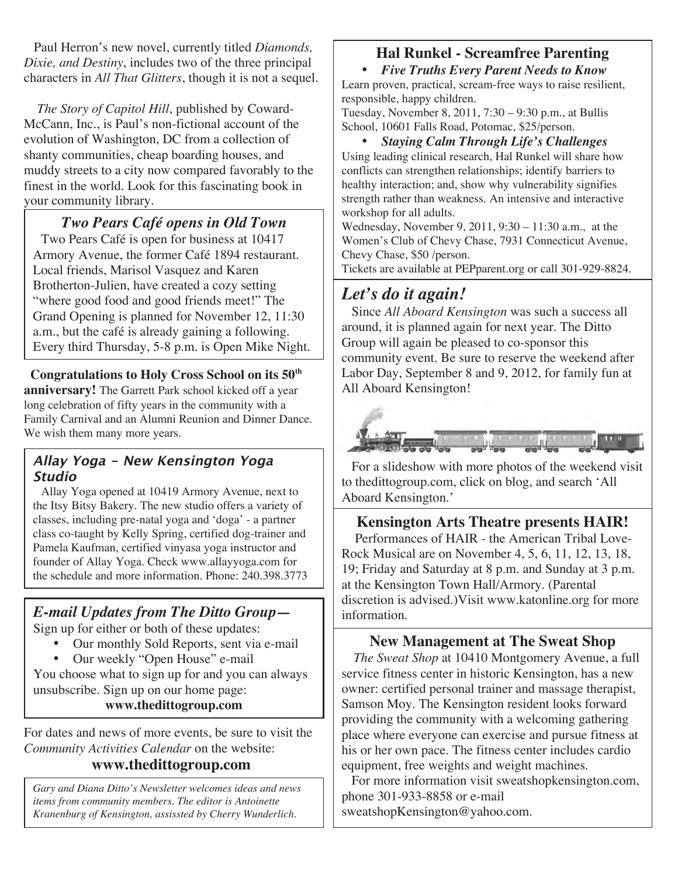Paul Herron's new novel, currently titled *Diamonds, Dixie, and Destiny*, includes two of the three principal characters in *All That Glitters*, though it is not a sequel.

 *The Story of Capitol Hill*, published by Coward-McCann, Inc., is Paul's non-fictional account of the evolution of Washington, DC from a collection of shanty communities, cheap boarding houses, and muddy streets to a city now compared favorably to the finest in the world. Look for this fascinating book in your community library.

### *Two Pears Café opens in Old Town*

 Two Pears Café is open for business at 10417 Armory Avenue, the former Café 1894 restaurant. Local friends, Marisol Vasquez and Karen Brotherton-Julien, have created a cozy setting "where good food and good friends meet!" The Grand Opening is planned for November 12, 11:30 a.m., but the café is already gaining a following. Every third Thursday, 5-8 p.m. is Open Mike Night.

 **Congratulations to Holy Cross School on its 50th anniversary!** The Garrett Park school kicked off a year long celebration of fifty years in the community with a Family Carnival and an Alumni Reunion and Dinner Dance. We wish them many more years.

### **Allay Yoga - New Kensington Yoga Studio**

 Allay Yoga opened at 10419 Armory Avenue, next to the Itsy Bitsy Bakery. The new studio offers a variety of classes, including pre-natal yoga and 'doga' - a partner class co-taught by Kelly Spring, certified dog-trainer and Pamela Kaufman, certified vinyasa yoga instructor and founder of Allay Yoga. Check www.allayyoga.com for the schedule and more information. Phone: 240.398.3773

## *E-mail Updates from The Ditto Group—*

Sign up for either or both of these updates:

Email: info@allayyoga.com

- Our monthly Sold Reports, sent via e-mail
- Our weekly "Open House" e-mail

You choose what to sign up for and you can always unsubscribe. Sign up on our home page: **www.thedittogroup.com**

For dates and news of more events, be sure to visit the *Community Activities Calendar* on the website:

# **www.thedittogroup.com**

*Gary and Diana Ditto's Newsletter welcomes ideas and news items from community members. The editor is Antoinette Kranenburg of Kensington, assissted by Cherry Wunderlich.*

# **Hal Runkel - Screamfree Parenting**

• *Five Truths Every Parent Needs to Know* Learn proven, practical, scream-free ways to raise resilient, responsible, happy children.

Tuesday, November 8, 2011, 7:30 – 9:30 p.m., at Bullis School, 10601 Falls Road, Potomac, \$25/person.

### • *Staying Calm Through Life's Challenges* Using leading clinical research, Hal Runkel will share how conflicts can strengthen relationships; identify barriers to healthy interaction; and, show why vulnerability signifies strength rather than weakness. An intensive and interactive workshop for all adults.

Wednesday, November 9, 2011, 9:30 – 11:30 a.m., at the Women's Club of Chevy Chase, 7931 Connecticut Avenue, Chevy Chase, \$50 /person.

Tickets are available at PEPparent.org or call 301-929-8824.

# *Let's do it again!*

 Since *All Aboard Kensington* was such a success all around, it is planned again for next year. The Ditto Group will again be pleased to co-sponsor this community event. Be sure to reserve the weekend after Labor Day, September 8 and 9, 2012, for family fun at All Aboard Kensington!



 For a slideshow with more photos of the weekend visit to thedittogroup.com, click on blog, and search 'All Aboard Kensington.'

## **Kensington Arts Theatre presents HAIR!**

 Performances of HAIR - the American Tribal Love-Rock Musical are on November 4, 5, 6, 11, 12, 13, 18, 19; Friday and Saturday at 8 p.m. and Sunday at 3 p.m. at the Kensington Town Hall/Armory. (Parental discretion is advised.)Visit www.katonline.org for more information.

## **New Management at The Sweat Shop**

 *The Sweat Shop* at 10410 Montgomery Avenue, a full service fitness center in historic Kensington, has a new owner: certified personal trainer and massage therapist, Samson Moy. The Kensington resident looks forward providing the community with a welcoming gathering place where everyone can exercise and pursue fitness at his or her own pace. The fitness center includes cardio equipment, free weights and weight machines.

 For more information visit sweatshopkensington.com, phone 301-933-8858 or e-mail sweatshopKensington@yahoo.com.